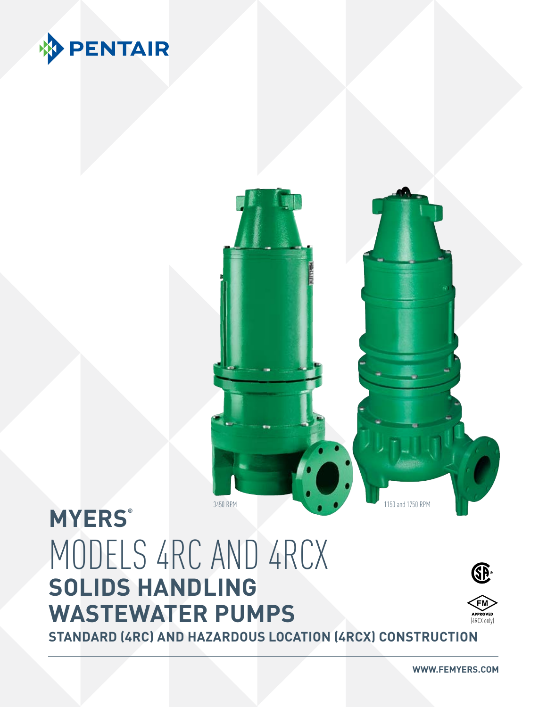



## **MYERS®** MODELS 4RC AND 4RCX **SOLIDS HANDLING WASTEWATER PUMPS**



(4RCX only)

**STANDARD (4RC) AND HAZARDOUS LOCATION (4RCX) CONSTRUCTION**

**WWW.FEMYERS.COM**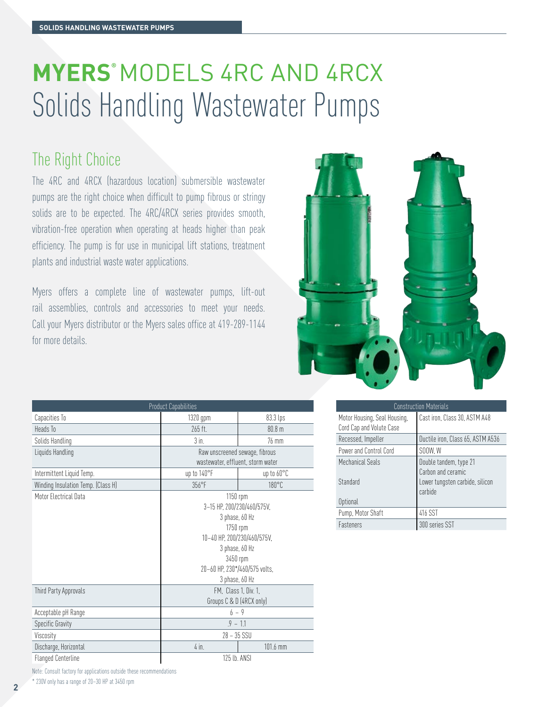## **MYERS®** MODELS 4RC AND 4RCX Solids Handling Wastewater Pumps

### The Right Choice

The 4RC and 4RCX (hazardous location) submersible wastewater pumps are the right choice when difficult to pump fibrous or stringy solids are to be expected. The 4RC/4RCX series provides smooth, vibration-free operation when operating at heads higher than peak efficiency. The pump is for use in municipal lift stations, treatment plants and industrial waste water applications.

Myers offers a complete line of wastewater pumps, lift-out rail assemblies, controls and accessories to meet your needs. Call your Myers distributor or the Myers sales office at 419-289-1144 for more details.



| <b>Product Capabilities</b>        |                                   |                   |  |  |  |  |  |  |  |  |
|------------------------------------|-----------------------------------|-------------------|--|--|--|--|--|--|--|--|
| Capacities To                      | 1320 gpm                          | 83.3 lps          |  |  |  |  |  |  |  |  |
| Heads To                           | $265$ ft.                         | 80.8 <sub>m</sub> |  |  |  |  |  |  |  |  |
| Solids Handling                    | $3$ in.                           | $76 \text{ mm}$   |  |  |  |  |  |  |  |  |
| Liquids Handling                   | Raw unscreened sewage, fibrous    |                   |  |  |  |  |  |  |  |  |
|                                    | wastewater, effluent, storm water |                   |  |  |  |  |  |  |  |  |
| Intermittent Liquid Temp.          | up to 140°F                       | up to 60°C        |  |  |  |  |  |  |  |  |
| Winding Insulation Temp. (Class H) | $356^{\circ}$ F                   | $180^{\circ}$ C   |  |  |  |  |  |  |  |  |
| Motor Electrical Data              | $1150$ rpm                        |                   |  |  |  |  |  |  |  |  |
|                                    | 3-15 HP, 200/230/460/575V,        |                   |  |  |  |  |  |  |  |  |
|                                    | 3 phase, 60 Hz                    |                   |  |  |  |  |  |  |  |  |
|                                    | 1750 rpm                          |                   |  |  |  |  |  |  |  |  |
|                                    | 10-40 HP, 200/230/460/575V,       |                   |  |  |  |  |  |  |  |  |
|                                    | 3 phase, 60 Hz                    |                   |  |  |  |  |  |  |  |  |
|                                    | 3450 rpm                          |                   |  |  |  |  |  |  |  |  |
|                                    | 20-60 HP, 230*/460/575 volts,     |                   |  |  |  |  |  |  |  |  |
|                                    | 3 phase, 60 Hz                    |                   |  |  |  |  |  |  |  |  |
| Third Party Approvals              | FM, Class 1, Div. 1,              |                   |  |  |  |  |  |  |  |  |
|                                    | Groups C & D (4RCX only)          |                   |  |  |  |  |  |  |  |  |
| Acceptable pH Range                | $6 - 9$                           |                   |  |  |  |  |  |  |  |  |
| Specific Gravity                   | $.9 - 1.1$                        |                   |  |  |  |  |  |  |  |  |
| Viscosity                          | $28 - 35$ SSU                     |                   |  |  |  |  |  |  |  |  |
| Discharge, Horizontal              | $4$ in.                           | 101.6 mm          |  |  |  |  |  |  |  |  |
| Flanged Centerline                 | 125 lb. ANSI                      |                   |  |  |  |  |  |  |  |  |

|                                                          | <b>Construction Materials</b>                                    |
|----------------------------------------------------------|------------------------------------------------------------------|
| Motor Housing, Seal Housing,<br>Cord Cap and Volute Case | Cast iron, Class 30, ASTM A48                                    |
| Recessed, Impeller                                       | Ductile iron, Class 65, ASTM A536                                |
| Power and Control Cord                                   | SOOW, W                                                          |
| Mechanical Seals                                         | Double tandem, type 21                                           |
| Standard                                                 | Carbon and ceramic<br>Lower tungsten carbide, silicon<br>carbide |
| Optional                                                 |                                                                  |
| Pump, Motor Shaft                                        | 416 SST                                                          |
| Fasteners                                                | 300 series SST                                                   |

Note: Consult factory for applications outside these recommendations

\* 230V only has a range of 20–30 HP at 3450 rpm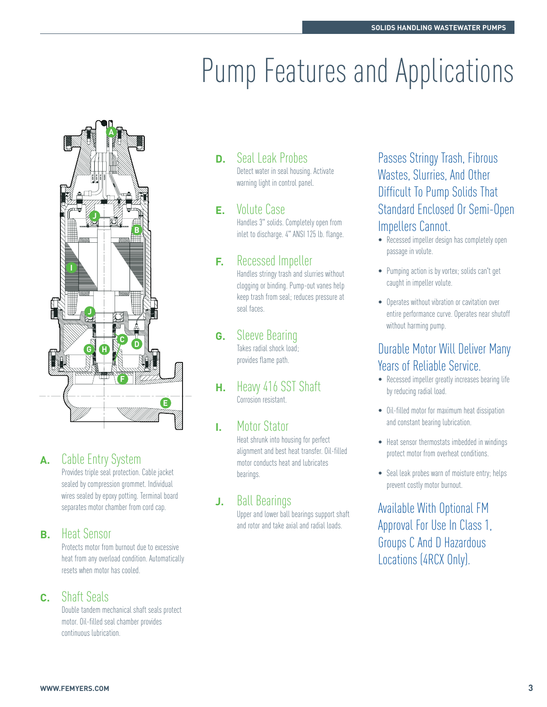# **Pump Features and Applications**



#### **A.** Cable Entry System

Provides triple seal protection. Cable jacket sealed by compression grommet. Individual wires sealed by epoxy potting. Terminal board separates motor chamber from cord cap.

#### **B.** Heat Sensor

Protects motor from burnout due to excessive heat from any overload condition. Automatically resets when motor has cooled.

#### **C.** Shaft Seals

Double tandem mechanical shaft seals protect motor. Oil-filled seal chamber provides continuous lubrication.

#### **D.** Seal Leak Probes

Detect water in seal housing. Activate warning light in control panel.

#### **E.** Volute Case

Handles 3" solids. Completely open from inlet to discharge. 4" ANSI 125 lb. flange.

#### **F.** Recessed Impeller

Handles stringy trash and slurries without clogging or binding. Pump-out vanes help keep trash from seal; reduces pressure at seal faces.

#### **G.** Sleeve Bearing

Takes radial shock load; provides flame path.

**H.** Heavy 416 SST Shaft Corrosion resistant.

#### **I.** Motor Stator

Heat shrunk into housing for perfect alignment and best heat transfer. Oil-filled motor conducts heat and lubricates bearings.

#### **J.** Ball Bearings

Upper and lower ball bearings support shaft and rotor and take axial and radial loads.

Passes Stringy Trash, Fibrous Wastes, Slurries, And Other Difficult To Pump Solids That Standard Enclosed Or Semi-Open Impellers Cannot.

- Recessed impeller design has completely open passage in volute.
- Pumping action is by vortex; solids can't get caught in impeller volute.
- Operates without vibration or cavitation over entire performance curve. Operates near shutoff without harming pump.

#### Durable Motor Will Deliver Many Years of Reliable Service.

- Recessed impeller greatly increases bearing life by reducing radial load.
- Oil-filled motor for maximum heat dissipation and constant bearing lubrication.
- Heat sensor thermostats imbedded in windings protect motor from overheat conditions.
- Seal leak probes warn of moisture entry; helps prevent costly motor burnout.

Available With Optional FM Approval For Use In Class 1, Groups C And D Hazardous Locations (4RCX Only).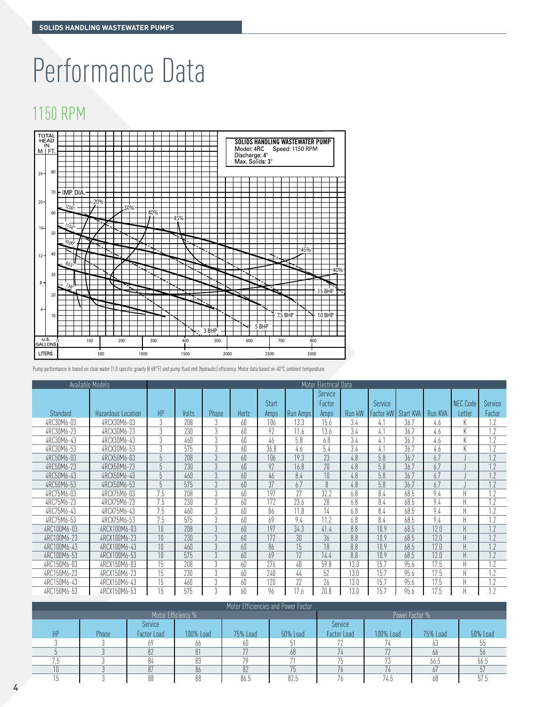# Performance Data

### 1150 RPM



Pump performance is based on clear water (1.0 specific gravity @ 68°F) and pump fluid end (hydraulic) efficiency. Motor data based on 40°C ambient temperature.

|             | Available Models   |                |              |                |       | Motor Electrical Data |          |         |        |                |           |         |                 |         |
|-------------|--------------------|----------------|--------------|----------------|-------|-----------------------|----------|---------|--------|----------------|-----------|---------|-----------------|---------|
|             |                    |                |              |                |       |                       |          | Service |        |                |           |         |                 |         |
|             |                    |                |              |                |       | <b>Start</b>          |          | Factor  |        | <b>Service</b> |           |         | <b>NEC Code</b> | Service |
| Standard    | Hazardous Location | HP             | <b>Volts</b> | Phase          | Hertz | Amps                  | Run Amps | Amps    | Run kW | Factor kW      | Start KVA | Run KVA | Letter          | Factor  |
| 4RC30M6-03  | 4RCX30M6-03        | 3              | 208          |                | 60    | 106                   | 13.3     | 15.6    | 3.4    | 4.1            | 36.7      | 4.6     | K               | 1.7     |
| 4RC30M6-23  | 4RCX30M6-23        | 3              | 230          | $\eta$         | 60    | 97                    | 11.6     | 13.6    | 3.4    | 4.1            | 36.7      | 4.6     | K               | 1.2     |
| 4RC30M6-43  | 4RCX30M6-43        | 3              | 460          | $\Omega$       | 60    | 46                    | 5.8      | 6.8     | 3.4    | 4.1            | 36.7      | 4.6     | K               | 1.7     |
| 4RC30M6-53  | 4RCX30M6-53        | 3              | 575          | $\eta$         | 60    | 36.8                  | 4.6      | 5.4     | 3.4    | 4.1            | 36.7      | 4.6     | K               | 1.7     |
| 4RC50M6-03  | 4RCX50M6-03        | 5              | 208          | $\mathfrak{Z}$ | 60    | 106                   | 19.3     | 23      | 4.8    | 5.8            | 36.7      | 6.7     |                 |         |
| 4RC50M6-23  | 4RCX50M6-23        | 5              | 230          | $\mathfrak{Z}$ | 60    | 92                    | 16.8     | 20      | 4.8    | 5.8            | 36.7      | 6.7     |                 | 1.2     |
| 4RC50M6-43  | 4RCX50M6-43        | 5              | 460          | $\mathfrak{Z}$ | 60    | 46                    | 8.4      | 10      | 4.8    | 5.8            | 36.7      | 6.7     |                 |         |
| 4RC50M6-53  | 4RCX50M6-53        | $\overline{5}$ | 575          | $\mathfrak{Z}$ | 60    | 37                    | 6.7      | 8       | 4.8    | 5.8            | 36.7      | 6.7     |                 | 1.7     |
| 4RC75M6-03  | 4RCX75M6-03        | 7.5            | 208          | 3              | 60    | 197                   | 27       | 32.2    | 6.8    | 8.4            | 68.5      | 9.4     | Н               | 1.2     |
| 4RC75M6-23  | 4RCX75M6-23        | 7.5            | 230          | 3              | 60    | 172                   | 23.6     | 28      | 6.8    | 8.4            | 68.5      | 9.4     | H               | 1.2     |
| 4RC75M6-43  | 4RCX75M6-43        | 7.5            | 460          | 3              | 60    | 86                    | 11.8     | 14      | 6.8    | 8.4            | 68.5      | 9.4     | H               | 1.2     |
| 4RC75M6-53  | 4RCX75M6-53        | 7.5            | 575          | 3              | 60    | 69                    | 9.4      | 11.2    | 6.8    | 8.4            | 68.5      | 9.4     | H               | 1.7     |
| 4RC100M6-03 | 4RCX100M6-03       | 10             | 208          | $\overline{3}$ | 60    | 197                   | 34.3     | 41.4    | 8.8    | 10.9           | 68.5      | 12.0    | $\sf H$         | 1.2     |
| 4RC100M6-23 | 4RCX100M6-23       | 10             | 230          | $\overline{3}$ | 60    | 172                   | 30       | 36      | 8.8    | 10.9           | 68.5      | 12.0    | H               | 1.2     |
| 4RC100M6-43 | 4RCX100M6-43       | 10             | 460          | $\overline{3}$ | 60    | 86                    | 15       | 18      | 8.8    | 10.9           | 68.5      | 12.0    | $\mathsf H$     | 1.2     |
| 4RC100M6-53 | 4RCX100M6-53       | 10             | 575          | $\overline{3}$ | 60    | 69                    | 12       | 14.4    | 8.8    | 10.9           | 68.5      | 12.0    | $\mathsf H$     | 1.2     |
| 4RC150M6-03 | 4RCX150M6-03       | 15             | 208          | 3              | 60    | 276                   | 48       | 59.8    | 13.0   | 15.7           | 95.6      | 17.5    | H               | 1.2     |
| 4RC150M6-23 | 4RCX150M6-23       | 15             | 230          | $\overline{3}$ | 60    | 740                   | 44       | 52      | 13.0   | 15.7           | 95.6      | 17.5    | Н               | 1.2     |
| 4RC150M6-43 | 4RCX150M6-43       | 15             | 460          | 3              | 60    | 120                   | 22       | 26      | 13.0   | 15.7           | 95.6      | 17.5    | Н               | 1.2     |
| 4RC150M6-53 | 4RCX150M6-53       | 15             | 575          | $\Omega$       | 60    | 96                    | 17.6     | 20.8    | 13.0   | 15.7           | 95.6      | 17.5    | H               | 1.2     |

| Motor Efficiencies and Power Factor |       |                    |                |          |          |             |           |          |          |  |  |  |
|-------------------------------------|-------|--------------------|----------------|----------|----------|-------------|-----------|----------|----------|--|--|--|
|                                     |       | Motor Efficiency % | Power Factor % |          |          |             |           |          |          |  |  |  |
|                                     |       | Service            |                |          |          | Service     |           |          |          |  |  |  |
| HP                                  | Phase | Factor Load        | 100% Load      | 75% Load | 50% Load | Factor Load | 100% Load | 75% Load | 50% Load |  |  |  |
|                                     |       |                    |                | 6U       |          |             |           |          |          |  |  |  |
|                                     |       | 82                 |                | 77       | 68       | 71          | 70        | 00       |          |  |  |  |
|                                     |       | 84                 |                | 70       |          |             | 79        | 66.5     | 56.5     |  |  |  |
|                                     |       | 87                 | 86             | 82       |          | 71          |           | 0/       |          |  |  |  |
|                                     |       | 88                 | 88             | 86.5     | 82.5     | <b>n</b>    | 74.5      | 68       | 57.5     |  |  |  |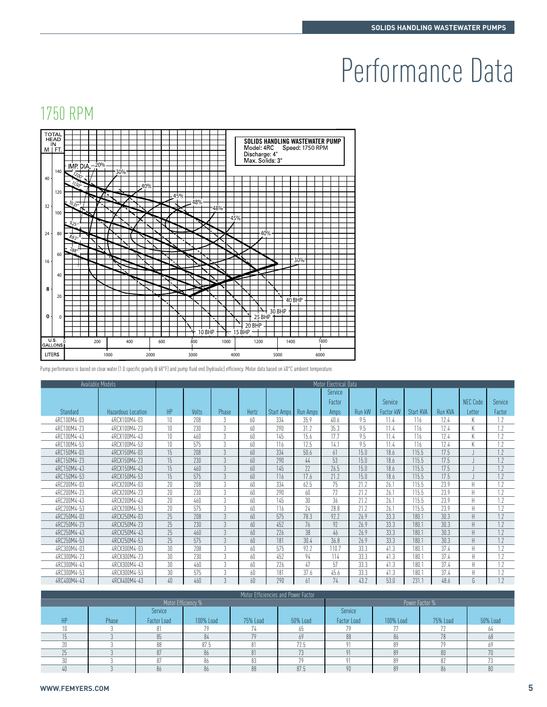# Performance Data

## 1750 RPM



Pump performance is based on clear water (1.0 specific gravity @ 68°F) and pump fluid end (hydraulic) efficiency. Motor data based on 40°C ambient temperature.

|             | Available Models   | Motor Electrical Data |       |                |       |            |          |         |        |           |           |         |                 |         |
|-------------|--------------------|-----------------------|-------|----------------|-------|------------|----------|---------|--------|-----------|-----------|---------|-----------------|---------|
|             |                    |                       |       |                |       |            |          | Service |        |           |           |         |                 |         |
|             |                    |                       |       |                |       |            |          | Factor  |        | Service   |           |         | <b>NEC Code</b> | Service |
| Standard    | Hazardous Location | HP                    | Volts | Phase          | Hertz | Start Amps | Run Amps | Amps    | Run kW | Factor kW | Start KVA | Run KVA | Letter          | Factor  |
| 4RC100M4-03 | 4RCX100M4-03       | 10                    | 208   | 3              | 60    | 334        | 35.9     | 40.6    | 9.5    | 11.4      | 116       | 17.4    | K               | 1.2     |
| 4RC100M4-23 | 4RCX100M4-23       | 10                    | 230   | 3              | 60    | 290        | 31.2     | 35.3    | 9.5    | 11.4      | 116       | 17.4    | K               | 1.2     |
| 4RC100M4-43 | 4RCX100M4-43       | 10                    | 460   | 3              | 60    | 145        | 15.6     | 17.7    | 9.5    | 11.4      | 116       | 17.4    | K               | 1.2     |
| 4RC100M4-53 | 4RCX100M4-53       | 10                    | 575   | 3              | 60    | 116        | 17.5     | 14.1    | 9.5    | 11.4      | 116       | 17.4    | K               | 1.7     |
| 4RC150M4-03 | 4RCX150M4-03       | 15                    | 208   | 3              | 60    | 334        | 50.6     | 61      | 15.0   | 18.6      | 115.5     | 17.5    |                 | 1.2     |
| 4RC150M4-23 | 4RCX150M4-23       | 15                    | 230   | 3              | 60    | 290        | 44       | 53      | 15.0   | 18.6      | 115.5     | 17.5    |                 |         |
| 4RC150M4-43 | 4RCX150M4-43       | 15                    | 460   | 3              | 60    | 145        | 22       | 26.5    | 15.0   | 18.6      | 115.5     | 17.5    |                 | 1.2     |
| 4RC150M4-53 | 4RCX150M4-53       | 15                    | 575   | 3              | 60    | 116        | 17.6     | 21.2    | 15.0   | 18.6      | 115.5     | 17.5    |                 | 1.2     |
| 4RC200M4-03 | 4RCX200M4-03       | 20                    | 208   | 3              | 60    | 334        | 62.5     | 75      | 21.2   | 26.1      | 115.5     | 23.9    | H               | 1.2     |
| 4RC200M4-23 | 4RCX200M4-23       | 20                    | 230   | 3              | 60    | 290        | 60       | 77      | 71.7   | 76.1      | 115.5     | 23.9    | $\mathsf{H}$    | 1.7     |
| 4RC200M4-43 | 4RCX200M4-43       | 20                    | 460   | 3              | 60    | 145        | 30       | 36      | 21.2   | 26.1      | 115.5     | 23.9    | H               | 1.2     |
| 4RC200M4-53 | 4RCX200M4-53       | 20                    | 575   | 3              | 60    | 116        | 24       | 28.8    | 71.7   | 26.1      | 115.5     | 23.9    | H               | 1.7     |
| 4RC250M4-03 | 4RCX250M4-03       | 25                    | 208   | $\mathfrak{Z}$ | 60    | 575        | 78.3     | 97.7    | 76.9   | 33.3      | 180.1     | 30.3    | H               | 1.7     |
| 4RC250M4-23 | 4RCX250M4-23       | 25                    | 230   | 3              | 60    | 452        | 76       | 97      | 76.9   | 33.3      | 180.1     | 30.3    | H               | 1.7     |
| 4RC250M4-43 | 4RCX250M4-43       | 25                    | 460   | $\overline{3}$ | 60    | 776        | 38       | 46      | 76.9   | 33.3      | 180.1     | 30.3    | H               | 1.2     |
| 4RC250M4-53 | 4RCX250M4-53       | 25                    | 575   | $\mathcal{E}$  | 60    | 181        | 30.4     | 36.8    | 76.9   | 33.3      | 180.1     | 30.3    | H               | 1.7     |
| 4RC300M4-03 | 4RCX300M4-03       | 30                    | 208   | 3              | 60    | 575        | 92.2     | 110.7   | 33.3   | 41.3      | 180.1     | 37.4    | Н               | 1.2     |
| 4RC300M4-23 | 4RCX300M4-23       | 30                    | 230   | 3              | 60    | 452        | 94       | 114     | 33.3   | 41.3      | 180.1     | 37.4    | Н               | 1.7     |
| 4RC300M4-43 | 4RCX300M4-43       | 30                    | 460   | 3              | 60    | 776        | 47       | 57      | 33.3   | 41.3      | 180.1     | 37.4    | Н               | 1.7     |
| 4RC300M4-53 | 4RCX300M4-53       | 30                    | 575   | 3              | 60    | 181        | 37.6     | 45.6    | 33.3   | 41.3      | 180.1     | 37.4    | H               | 1.2     |
| 4RC400M4-43 | 4RCX400M4-43       | 40                    | 460   | $\eta$         | 60    | 290        | 61       | 74      | 43.2   | 53.0      | 231.1     | 48.6    | G               | 1.7     |

| Motor Efficiencies and Power Factor |       |                    |                |          |          |             |           |          |          |  |  |  |
|-------------------------------------|-------|--------------------|----------------|----------|----------|-------------|-----------|----------|----------|--|--|--|
|                                     |       | Motor Efficiency % | Power Factor % |          |          |             |           |          |          |  |  |  |
|                                     |       | Service            |                |          |          | Service     |           |          |          |  |  |  |
| HP                                  | Phase | <b>Factor Load</b> | 100% Load      | 75% Load | 50% Load | Factor Load | 100% Load | 75% Load | 50% Load |  |  |  |
|                                     |       |                    |                |          |          |             |           |          |          |  |  |  |
|                                     |       |                    |                | 70       |          | 88          |           | 78       |          |  |  |  |
|                                     |       | 88                 | 87.5           |          | 72.5     |             | 89        | 70       |          |  |  |  |
|                                     |       | n <sub>Π</sub>     | 86             |          |          |             | 89        | 80       | 70       |  |  |  |
|                                     |       |                    | 86             |          |          |             | 89        | 82       |          |  |  |  |
| 40                                  |       | 86                 | 86             | 88       | 87.5     | nn          | 89        | 86       | 80       |  |  |  |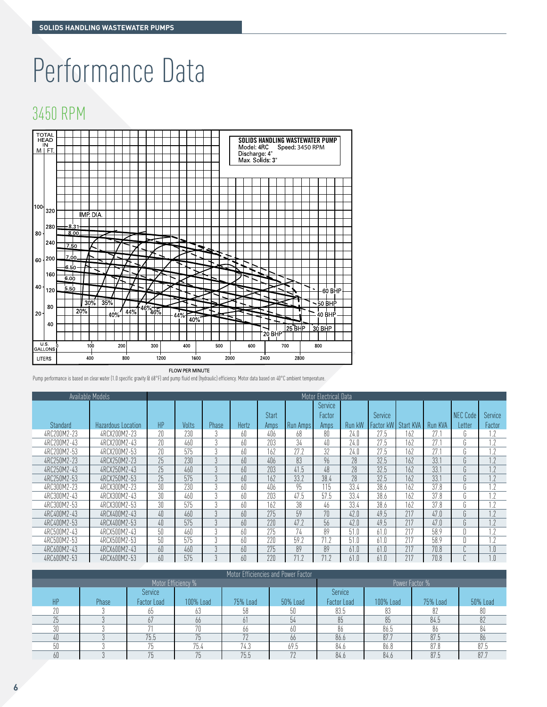# Performance Data

### 3450 RPM



Pump performance is based on clear water (1.0 specific gravity @ 68°F) and pump fluid end (hydraulic) efficiency. Motor data based on 40°C ambient temperature.

|             | Available Models   |    | Motor Electrical Data |               |       |              |          |         |        |         |                     |         |                        |                |
|-------------|--------------------|----|-----------------------|---------------|-------|--------------|----------|---------|--------|---------|---------------------|---------|------------------------|----------------|
|             |                    |    |                       |               |       |              |          | Service |        |         |                     |         |                        |                |
|             |                    |    |                       |               |       | <b>Start</b> |          | Factor  |        | Service |                     |         | NEC Code               | <b>Service</b> |
| Standard    | Hazardous Location | HP | Volts                 | Phase         | Hertz | Amps         | Run Amps | Amps    | Run kW |         | Factor kW Start KVA | Run KVA | Letter                 | Factor         |
| 4RC200M2-23 | 4RCX200M2-23       | 20 | 230                   |               | 60    | 406          | 68       | 80      | 74.0   | 27.5    | 162                 | 27 :    | b.                     |                |
| 4RC200M2-43 | 4RCX200M2-43       | 20 | 460                   | $\Omega$      | 60    | 203          | 34       | 40      | 74.0   | 27.5    | 162                 | 77.1    | G                      |                |
| 4RC200M2-53 | 4RCX200M2-53       | 20 | 575                   | 3             | 60    | 162          | 77.7     | 32      | 74.0   | 27.5    | 162                 | 77.1    | $\sim$<br>U.           |                |
| 4RC250M2-23 | 4RCX250M2-23       | 25 | 230                   | 3             | 60    | 406          | 83       | 96      | 28     | 32.5    | 162                 | 33.1    | G                      | 1.2            |
| 4RC250M2-43 | 4RCX250M2-43       | 25 | 460                   | 3             | 60    | 703          | 41.5     | 48      | 28     | 32.5    | 162                 | 33.1    | $\sim$<br>$\mathbf{u}$ |                |
| 4RC250M2-53 | 4RCX250M2-53       | 25 | 575                   | 3             | 60    | 162          | 33.2     | 38.4    | 28     | 32.5    | 162                 | 33.1    | $\cap$<br>b.           | 1.7            |
| 4RC300M2-23 | 4RCX300M2-23       | 30 | 230                   | 3             | 60    | 406          | 95       | 115     | 33.4   | 38.6    | 162                 | 37.8    | $\sim$<br>b.           |                |
| 4RC300M2-43 | 4RCX300M2-43       | 30 | 460                   | 3             | 60    | 203          | 47.5     | 57.5    | 33.4   | 38.6    | 162                 | 37.8    | $\sim$<br>b            |                |
| 4RC300M2-53 | 4RCX300M2-53       | 30 | 575                   | 3             | 60    | 162          | 38       | 46      | 33.4   | 38.6    | 162                 | 37.8    | $\sim$<br>b            |                |
| 4RC400M2-43 | 4RCX400M2-43       | 40 | 460                   | $\mathcal{E}$ | 60    | 275          | 59       | 70      | 42.0   | 49.5    | 217                 | 47.0    | $\sim$<br>$\mathbf{u}$ | 1.2            |
| 4RC400M2-53 | 4RCX400M2-53       | 40 | 575                   | $\eta$        | 60    | 770          | 47.7     | 56      | 47.0   | 49.5    | 217                 | 47.0    | $\sim$<br>U            | 1.2            |
| 4RC500M2-43 | 4RCX500M2-43       | 50 | 460                   | $\Omega$      | 60    | 275          | 74       | 89      | 51.0   | 61.0    | 217                 | 58.9    | D                      |                |
| 4RC500M2-53 | 4RCX500M2-53       | 50 | 575                   | $\Omega$      | 60    | 220          | 59.2     | 71.7    | 51.0   | 61.0    | 217                 | 58.9    | D                      |                |
| 4RC600M2-43 | 4RCX600M2-43       | 60 | 460                   | $\Omega$      | 60    | 275          | 89       | 89      | 61.0   | 61.0    | 217                 | 70.8    | $\sim$                 | 1.0            |
| 4RC600M2-53 | 4RCX600M2-53       | 60 | 575                   | $\Omega$      | 60    | 220          | 71.2     | 71.2    | 61.0   | 61.0    | 217                 | 70.8    | $\sim$                 | 1.0            |

| Motor Efficiencies and Power Factor |       |                    |                |          |          |                    |           |          |          |  |  |
|-------------------------------------|-------|--------------------|----------------|----------|----------|--------------------|-----------|----------|----------|--|--|
|                                     |       | Motor Efficiency % | Power Factor % |          |          |                    |           |          |          |  |  |
|                                     |       | <b>Service</b>     |                |          |          | Service            |           |          |          |  |  |
| HP                                  | Phase | <b>Factor Load</b> | 100% Load      | 75% Load | 50% Load | <b>Factor Load</b> | 100% Load | 75% Load | 50% Load |  |  |
| 20                                  |       | 65                 | 63             | 58       | 50       | 83.5               | 83        |          | 80       |  |  |
| 25                                  |       | 67                 | 66             |          | 54       | 85                 | 85        | 84.5     |          |  |  |
| 30                                  |       |                    | 70             | 66       | 60       | 86                 | 86.5      | 86       | 84       |  |  |
| 40                                  |       | 75.5               | 75             | 70       | 66       | 86.6               | 87.7      | 87.5     | 86       |  |  |
| 50                                  |       | 75                 | 75.4           | 74.3     | 69.5     | 84.6               | 86.8      | 87.8     | 87.5     |  |  |
| 60                                  |       | 75                 | 75             | 75.5     | 77       | 84.6               | 84.6      | 87.5     | 87.7     |  |  |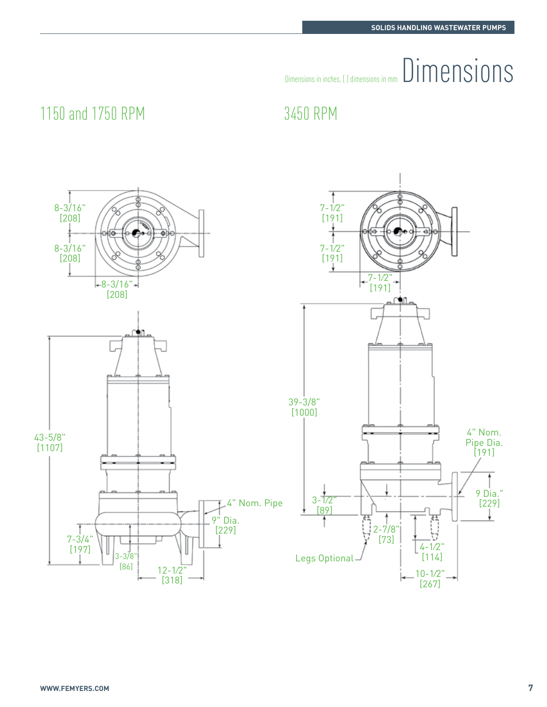# $\begin{minipage}{0.5cm} \begin{tabular}{|c|c|} \hline \texttt{Dimensions in inches}, & \texttt{J dimensions in mm} \end{tabular} \end{minipage} \begin{minipage}{0.9cm} \begin{tabular}{|c|c|} \hline \texttt{Dimensions in mm} & \texttt{Dimensions} \end{tabular} \end{minipage} \end{minipage} \begin{minipage}{0.9cm} \begin{tabular}{|c|c|c|} \hline \texttt{Dimensions in inches}, & \texttt{J dimensions in mm} \end{tabular} \end{minipage} \end{minipage} \begin{minipage}{0.9cm} \begin{tabular}{|c|c|c|} \$

## 1150 and 1750 RPM 3450 RPM